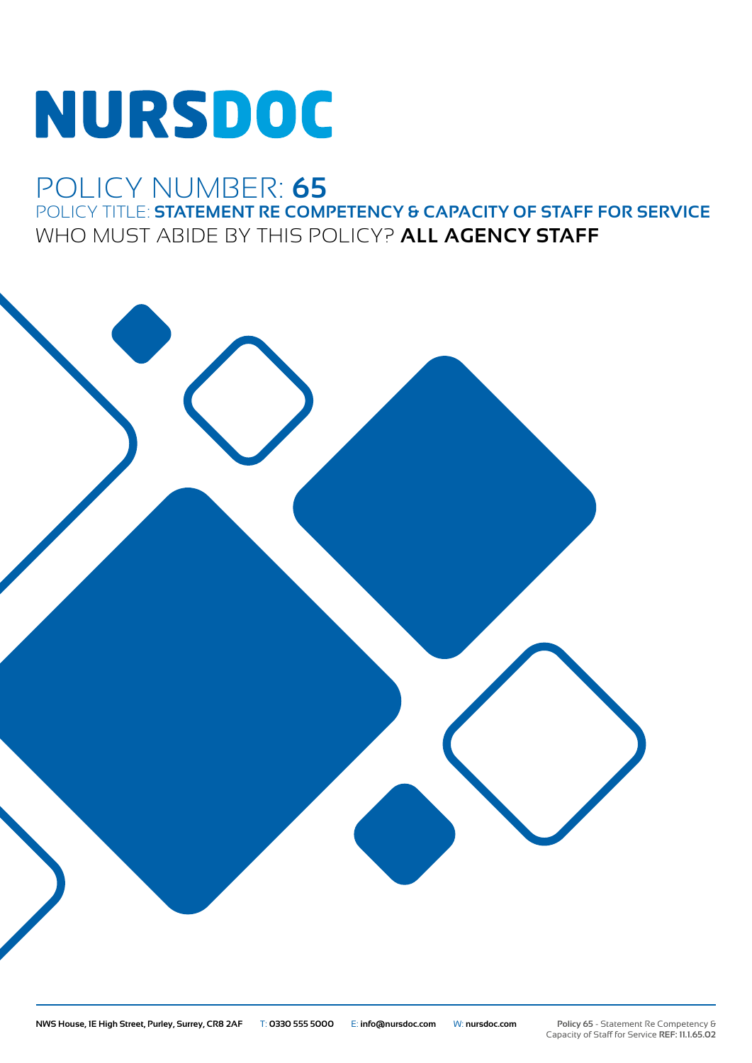# NURSDOC

## POLICY NUMBER: **65** POLICY TITLE: **STATEMENT RE COMPETENCY & CAPACITY OF STAFF FOR SERVICE** WHO MUST ABIDE BY THIS POLICY? **ALL AGENCY STAFF**